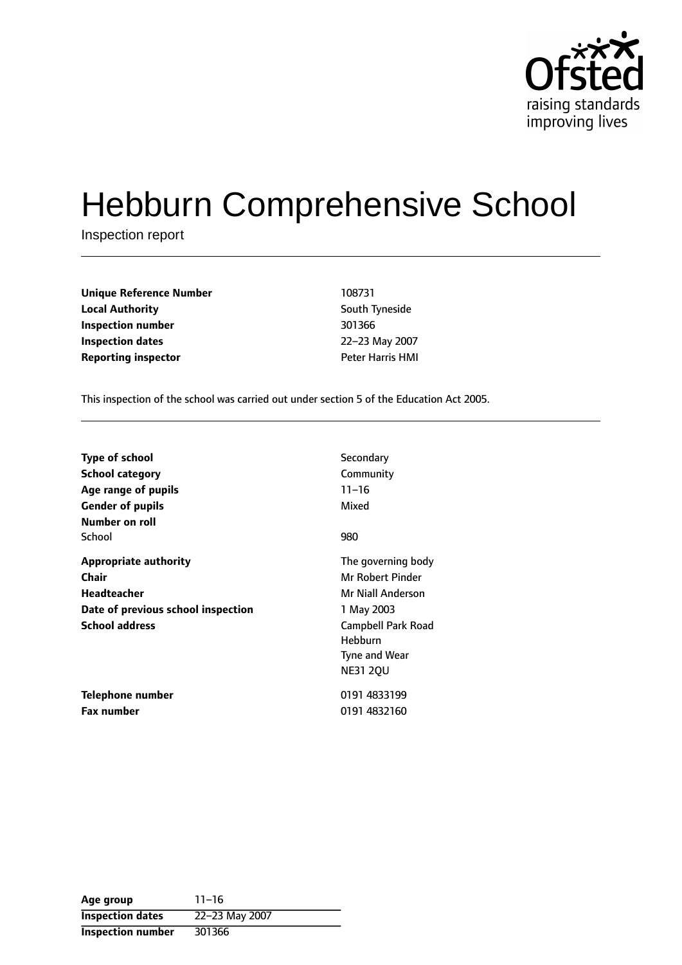

# Hebburn Comprehensive School

Inspection report

| <b>Unique Reference Number</b> | 108731                  |
|--------------------------------|-------------------------|
| <b>Local Authority</b>         | South Tyneside          |
| Inspection number              | 301366                  |
| Inspection dates               | 22-23 May 2007          |
| <b>Reporting inspector</b>     | <b>Peter Harris HMI</b> |

**South Tyneside Inspection number** 301366 **Inspection dates** 2223 May 2007

This inspection of the school was carried out under section 5 of the Education Act 2005.

| <b>Type of school</b>              | Secondary          |
|------------------------------------|--------------------|
| School category                    | Community          |
| Age range of pupils                | $11 - 16$          |
| <b>Gender of pupils</b>            | Mixed              |
| Number on roll                     |                    |
| School                             | 980                |
| <b>Appropriate authority</b>       | The governing body |
| Chair                              | Mr Robert Pinder   |
| Headteacher                        | Mr Niall Anderson  |
| Date of previous school inspection | 1 May 2003         |
| <b>School address</b>              | Campbell Park Road |
|                                    | Hebburn            |
|                                    | Tyne and Wear      |
|                                    | <b>NE31 20U</b>    |
| Telephone number                   | 0191 4833199       |
| <b>Fax number</b>                  | 0191 4832160       |

| Age group                | $11 - 16$      |
|--------------------------|----------------|
| <b>Inspection dates</b>  | 22-23 May 2007 |
| <b>Inspection number</b> | 301366         |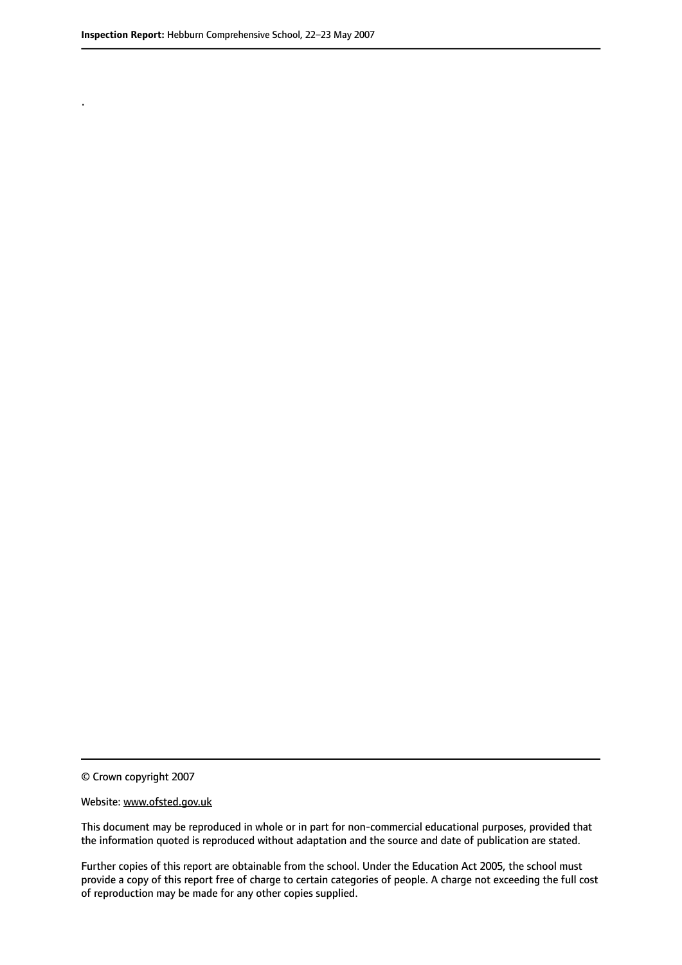.

© Crown copyright 2007

#### Website: www.ofsted.gov.uk

This document may be reproduced in whole or in part for non-commercial educational purposes, provided that the information quoted is reproduced without adaptation and the source and date of publication are stated.

Further copies of this report are obtainable from the school. Under the Education Act 2005, the school must provide a copy of this report free of charge to certain categories of people. A charge not exceeding the full cost of reproduction may be made for any other copies supplied.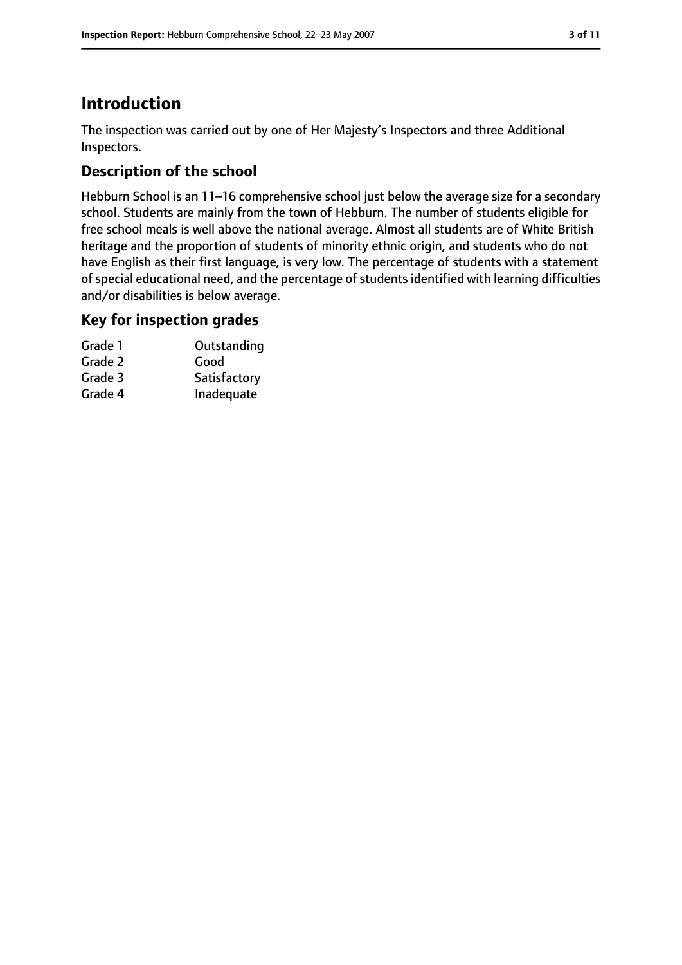# **Introduction**

The inspection was carried out by one of Her Majesty's Inspectors and three Additional Inspectors.

## **Description of the school**

Hebburn School is an 11-16 comprehensive school just below the average size for a secondary school. Students are mainly from the town of Hebburn. The number of students eligible for free school meals is well above the national average. Almost all students are of White British heritage and the proportion of students of minority ethnic origin, and students who do not have English as their first language, is very low. The percentage of students with a statement of special educational need, and the percentage of students identified with learning difficulties and/or disabilities is below average.

## **Key for inspection grades**

| Grade 1 | Outstanding  |
|---------|--------------|
| Grade 2 | Good         |
| Grade 3 | Satisfactory |
| Grade 4 | Inadequate   |
|         |              |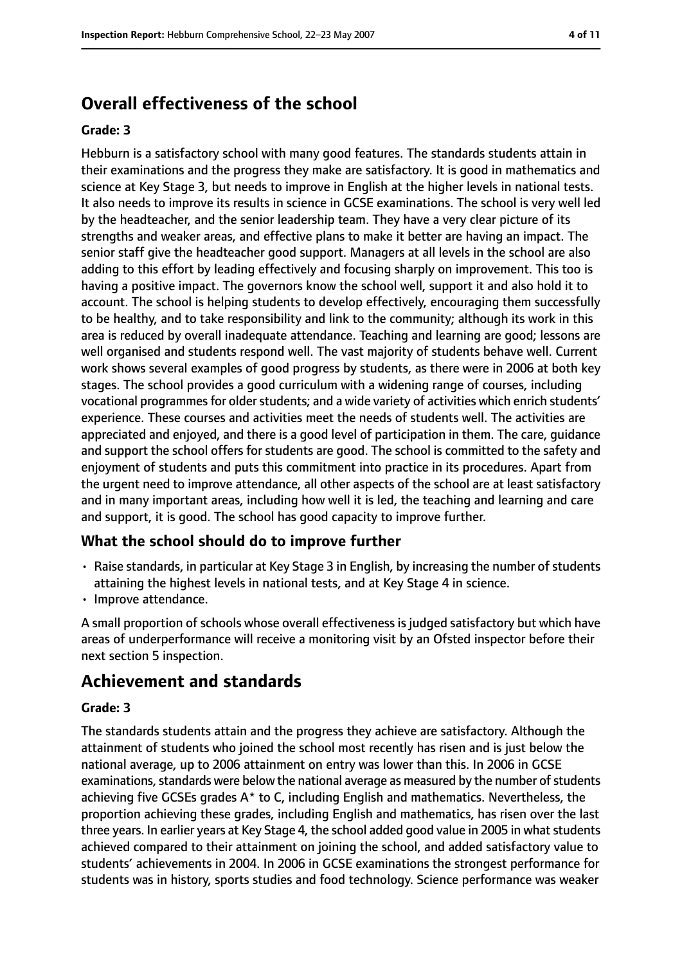# **Overall effectiveness of the school**

#### **Grade: 3**

Hebburn is a satisfactory school with many good features. The standards students attain in their examinations and the progress they make are satisfactory. It is good in mathematics and science at Key Stage 3, but needs to improve in English at the higher levels in national tests. It also needs to improve its results in science in GCSE examinations. The school is very well led by the headteacher, and the senior leadership team. They have a very clear picture of its strengths and weaker areas, and effective plans to make it better are having an impact. The senior staff give the headteacher good support. Managers at all levels in the school are also adding to this effort by leading effectively and focusing sharply on improvement. This too is having a positive impact. The governors know the school well, support it and also hold it to account. The school is helping students to develop effectively, encouraging them successfully to be healthy, and to take responsibility and link to the community; although its work in this area is reduced by overall inadequate attendance. Teaching and learning are good; lessons are well organised and students respond well. The vast majority of students behave well. Current work shows several examples of good progress by students, as there were in 2006 at both key stages. The school provides a good curriculum with a widening range of courses, including vocational programmes for older students; and a wide variety of activities which enrich students' experience. These courses and activities meet the needs of students well. The activities are appreciated and enjoyed, and there is a good level of participation in them. The care, guidance and support the school offers for students are good. The school is committed to the safety and enjoyment of students and puts this commitment into practice in its procedures. Apart from the urgent need to improve attendance, all other aspects of the school are at least satisfactory and in many important areas, including how well it is led, the teaching and learning and care and support, it is good. The school has good capacity to improve further.

#### **What the school should do to improve further**

- Raise standards, in particular at Key Stage 3 in English, by increasing the number of students attaining the highest levels in national tests, and at Key Stage 4 in science.
- Improve attendance.

A small proportion of schools whose overall effectiveness is judged satisfactory but which have areas of underperformance will receive a monitoring visit by an Ofsted inspector before their next section 5 inspection.

## **Achievement and standards**

#### **Grade: 3**

The standards students attain and the progress they achieve are satisfactory. Although the attainment of students who joined the school most recently has risen and is just below the national average, up to 2006 attainment on entry was lower than this. In 2006 in GCSE examinations, standards were below the national average as measured by the number of students achieving five GCSEs grades A\* to C, including English and mathematics. Nevertheless, the proportion achieving these grades, including English and mathematics, has risen over the last three years. In earlier years at Key Stage 4, the school added good value in 2005 in what students achieved compared to their attainment on joining the school, and added satisfactory value to students' achievements in 2004. In 2006 in GCSE examinations the strongest performance for students was in history, sports studies and food technology. Science performance was weaker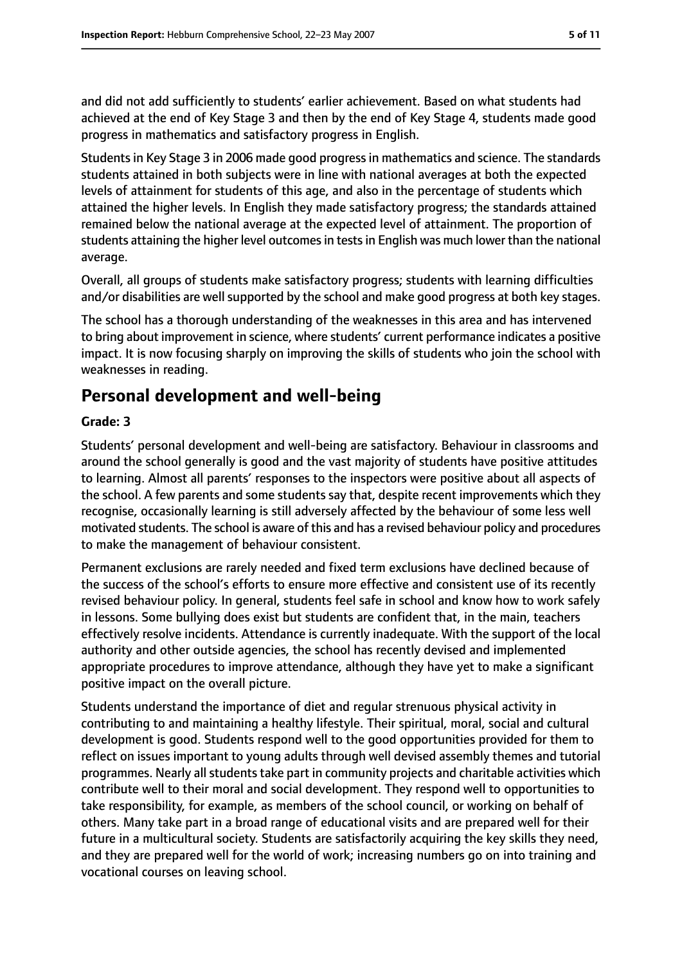and did not add sufficiently to students' earlier achievement. Based on what students had achieved at the end of Key Stage 3 and then by the end of Key Stage 4, students made good progress in mathematics and satisfactory progress in English.

Studentsin Key Stage 3 in 2006 made good progressin mathematics and science. The standards students attained in both subjects were in line with national averages at both the expected levels of attainment for students of this age, and also in the percentage of students which attained the higher levels. In English they made satisfactory progress; the standards attained remained below the national average at the expected level of attainment. The proportion of students attaining the higher level outcomes in tests in English was much lower than the national average.

Overall, all groups of students make satisfactory progress; students with learning difficulties and/or disabilities are well supported by the school and make good progress at both key stages.

The school has a thorough understanding of the weaknesses in this area and has intervened to bring about improvement in science, where students' current performance indicates a positive impact. It is now focusing sharply on improving the skills of students who join the school with weaknesses in reading.

## **Personal development and well-being**

#### **Grade: 3**

Students' personal development and well-being are satisfactory. Behaviour in classrooms and around the school generally is good and the vast majority of students have positive attitudes to learning. Almost all parents' responses to the inspectors were positive about all aspects of the school. A few parents and some students say that, despite recent improvements which they recognise, occasionally learning is still adversely affected by the behaviour of some less well motivated students. The school is aware of this and has a revised behaviour policy and procedures to make the management of behaviour consistent.

Permanent exclusions are rarely needed and fixed term exclusions have declined because of the success of the school's efforts to ensure more effective and consistent use of its recently revised behaviour policy. In general, students feel safe in school and know how to work safely in lessons. Some bullying does exist but students are confident that, in the main, teachers effectively resolve incidents. Attendance is currently inadequate. With the support of the local authority and other outside agencies, the school has recently devised and implemented appropriate procedures to improve attendance, although they have yet to make a significant positive impact on the overall picture.

Students understand the importance of diet and regular strenuous physical activity in contributing to and maintaining a healthy lifestyle. Their spiritual, moral, social and cultural development is good. Students respond well to the good opportunities provided for them to reflect on issues important to young adults through well devised assembly themes and tutorial programmes. Nearly all students take part in community projects and charitable activities which contribute well to their moral and social development. They respond well to opportunities to take responsibility, for example, as members of the school council, or working on behalf of others. Many take part in a broad range of educational visits and are prepared well for their future in a multicultural society. Students are satisfactorily acquiring the key skills they need, and they are prepared well for the world of work; increasing numbers go on into training and vocational courses on leaving school.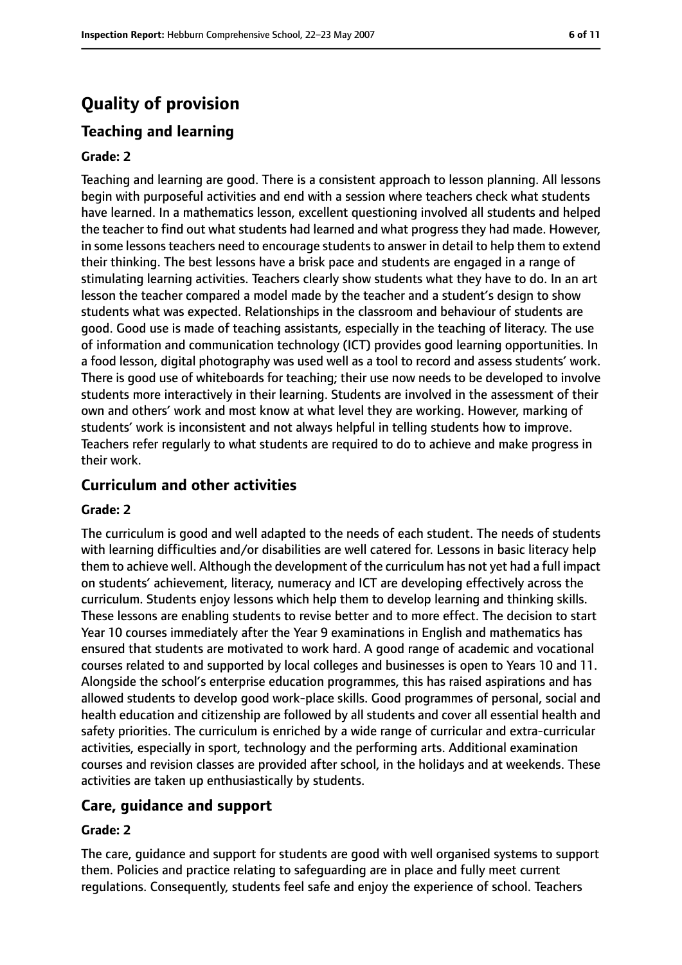## **Quality of provision**

#### **Teaching and learning**

#### **Grade: 2**

Teaching and learning are good. There is a consistent approach to lesson planning. All lessons begin with purposeful activities and end with a session where teachers check what students have learned. In a mathematics lesson, excellent questioning involved all students and helped the teacher to find out what students had learned and what progress they had made. However, in some lessons teachers need to encourage students to answer in detail to help them to extend their thinking. The best lessons have a brisk pace and students are engaged in a range of stimulating learning activities. Teachers clearly show students what they have to do. In an art lesson the teacher compared a model made by the teacher and a student's design to show students what was expected. Relationships in the classroom and behaviour of students are good. Good use is made of teaching assistants, especially in the teaching of literacy. The use of information and communication technology (ICT) provides good learning opportunities. In a food lesson, digital photography was used well as a tool to record and assess students' work. There is good use of whiteboards for teaching; their use now needs to be developed to involve students more interactively in their learning. Students are involved in the assessment of their own and others' work and most know at what level they are working. However, marking of students' work is inconsistent and not always helpful in telling students how to improve. Teachers refer regularly to what students are required to do to achieve and make progress in their work.

#### **Curriculum and other activities**

#### **Grade: 2**

The curriculum is good and well adapted to the needs of each student. The needs of students with learning difficulties and/or disabilities are well catered for. Lessons in basic literacy help them to achieve well. Although the development of the curriculum has not yet had a full impact on students' achievement, literacy, numeracy and ICT are developing effectively across the curriculum. Students enjoy lessons which help them to develop learning and thinking skills. These lessons are enabling students to revise better and to more effect. The decision to start Year 10 courses immediately after the Year 9 examinations in English and mathematics has ensured that students are motivated to work hard. A good range of academic and vocational courses related to and supported by local colleges and businesses is open to Years 10 and 11. Alongside the school's enterprise education programmes, this has raised aspirations and has allowed students to develop good work-place skills. Good programmes of personal, social and health education and citizenship are followed by all students and cover all essential health and safety priorities. The curriculum is enriched by a wide range of curricular and extra-curricular activities, especially in sport, technology and the performing arts. Additional examination courses and revision classes are provided after school, in the holidays and at weekends. These activities are taken up enthusiastically by students.

#### **Care, guidance and support**

#### **Grade: 2**

The care, guidance and support for students are good with well organised systems to support them. Policies and practice relating to safeguarding are in place and fully meet current regulations. Consequently, students feel safe and enjoy the experience of school. Teachers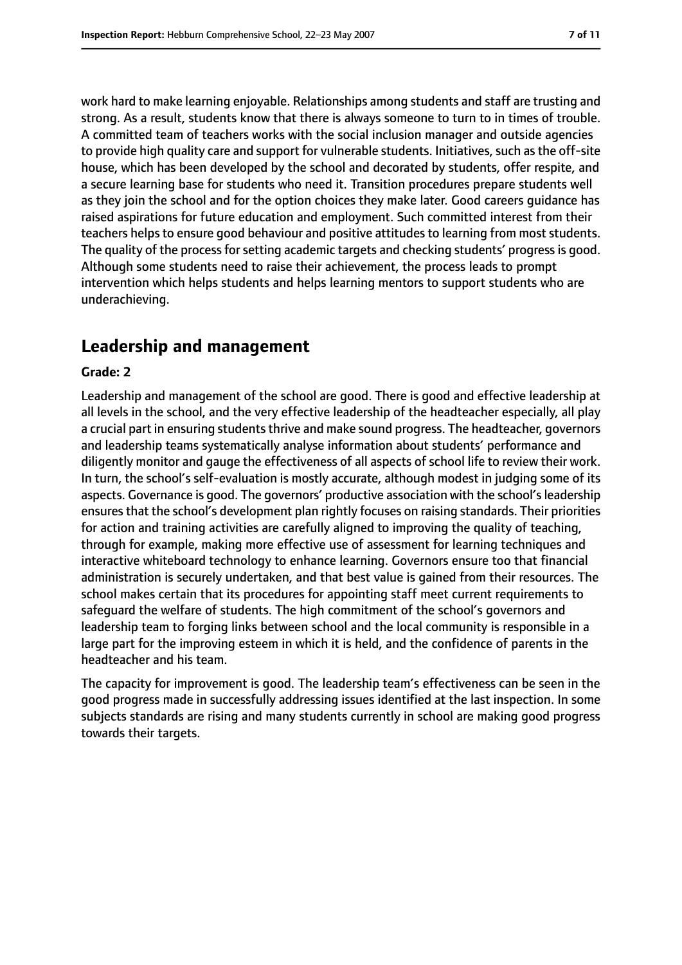work hard to make learning enjoyable. Relationships among students and staff are trusting and strong. As a result, students know that there is always someone to turn to in times of trouble. A committed team of teachers works with the social inclusion manager and outside agencies to provide high quality care and support for vulnerable students. Initiatives, such as the off-site house, which has been developed by the school and decorated by students, offer respite, and a secure learning base for students who need it. Transition procedures prepare students well as they join the school and for the option choices they make later. Good careers guidance has raised aspirations for future education and employment. Such committed interest from their teachers helps to ensure good behaviour and positive attitudes to learning from most students. The quality of the process for setting academic targets and checking students' progress is good. Although some students need to raise their achievement, the process leads to prompt intervention which helps students and helps learning mentors to support students who are underachieving.

## **Leadership and management**

#### **Grade: 2**

Leadership and management of the school are good. There is good and effective leadership at all levels in the school, and the very effective leadership of the headteacher especially, all play a crucial part in ensuring students thrive and make sound progress. The headteacher, governors and leadership teams systematically analyse information about students' performance and diligently monitor and gauge the effectiveness of all aspects of school life to review their work. In turn, the school's self-evaluation is mostly accurate, although modest in judging some of its aspects. Governance is good. The governors' productive association with the school's leadership ensuresthat the school's development plan rightly focuses on raising standards. Their priorities for action and training activities are carefully aligned to improving the quality of teaching, through for example, making more effective use of assessment for learning techniques and interactive whiteboard technology to enhance learning. Governors ensure too that financial administration is securely undertaken, and that best value is gained from their resources. The school makes certain that its procedures for appointing staff meet current requirements to safeguard the welfare of students. The high commitment of the school's governors and leadership team to forging links between school and the local community is responsible in a large part for the improving esteem in which it is held, and the confidence of parents in the headteacher and his team.

The capacity for improvement is good. The leadership team's effectiveness can be seen in the good progress made in successfully addressing issues identified at the last inspection. In some subjects standards are rising and many students currently in school are making good progress towards their targets.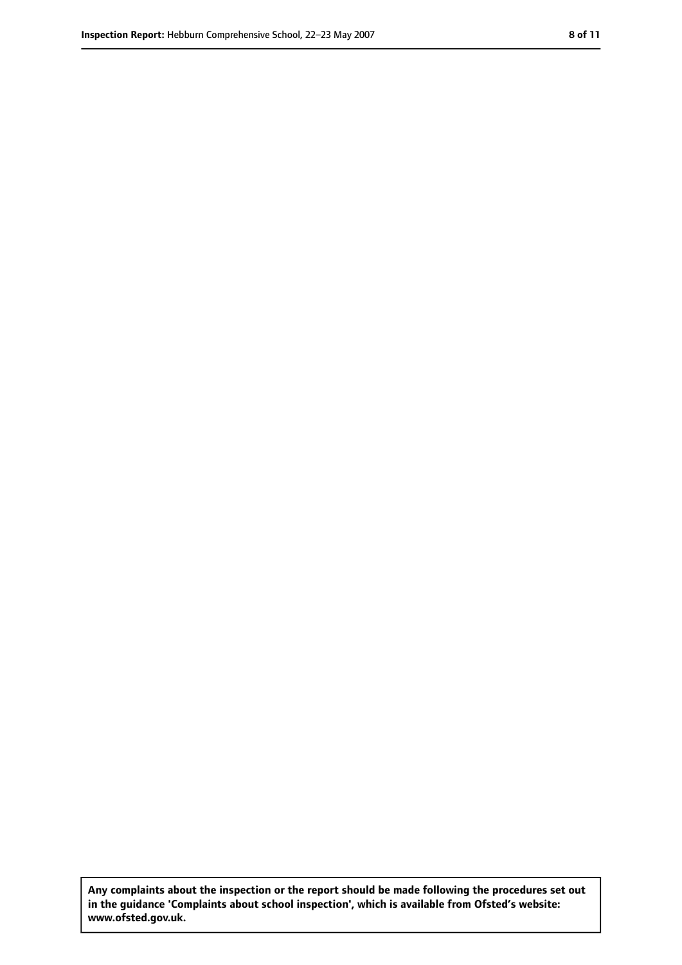**Any complaints about the inspection or the report should be made following the procedures set out in the guidance 'Complaints about school inspection', which is available from Ofsted's website: www.ofsted.gov.uk.**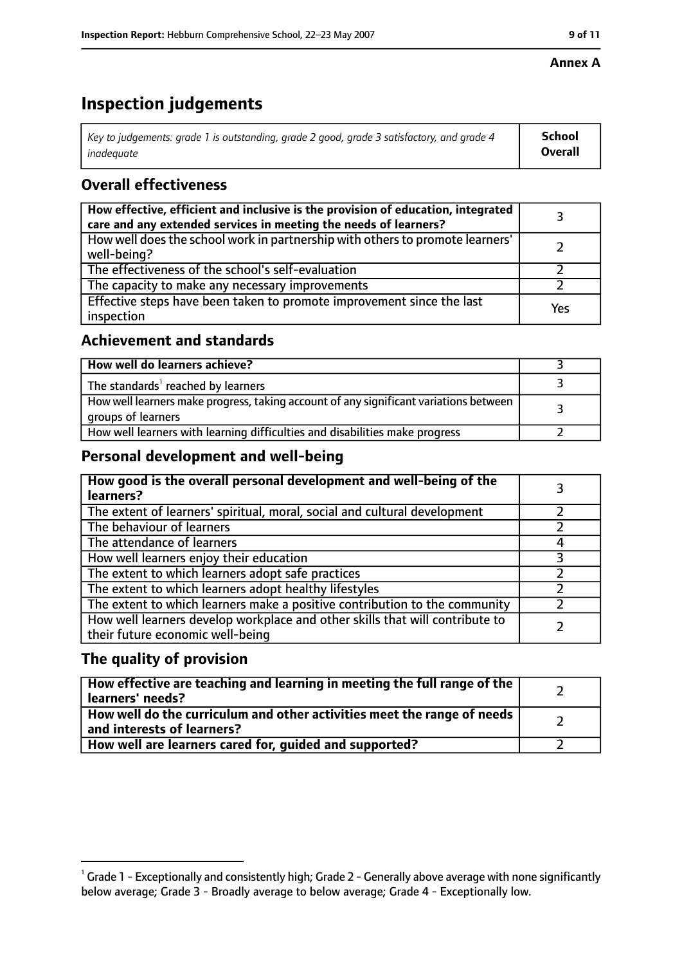#### **Annex A**

# **Inspection judgements**

| Key to judgements: grade 1 is outstanding, grade 2 good, grade 3 satisfactory, and grade 4 | School         |
|--------------------------------------------------------------------------------------------|----------------|
| inadeguate                                                                                 | <b>Overall</b> |

## **Overall effectiveness**

| How effective, efficient and inclusive is the provision of education, integrated<br>care and any extended services in meeting the needs of learners? |     |
|------------------------------------------------------------------------------------------------------------------------------------------------------|-----|
| How well does the school work in partnership with others to promote learners'<br>well-being?                                                         |     |
| The effectiveness of the school's self-evaluation                                                                                                    |     |
| The capacity to make any necessary improvements                                                                                                      |     |
| Effective steps have been taken to promote improvement since the last<br>inspection                                                                  | Yes |

## **Achievement and standards**

| How well do learners achieve?                                                                               |  |
|-------------------------------------------------------------------------------------------------------------|--|
| The standards <sup>1</sup> reached by learners                                                              |  |
| How well learners make progress, taking account of any significant variations between<br>groups of learners |  |
| How well learners with learning difficulties and disabilities make progress                                 |  |

## **Personal development and well-being**

| How good is the overall personal development and well-being of the<br>learners?                                  |  |
|------------------------------------------------------------------------------------------------------------------|--|
| The extent of learners' spiritual, moral, social and cultural development                                        |  |
| The behaviour of learners                                                                                        |  |
| The attendance of learners                                                                                       |  |
| How well learners enjoy their education                                                                          |  |
| The extent to which learners adopt safe practices                                                                |  |
| The extent to which learners adopt healthy lifestyles                                                            |  |
| The extent to which learners make a positive contribution to the community                                       |  |
| How well learners develop workplace and other skills that will contribute to<br>their future economic well-being |  |

## **The quality of provision**

| How effective are teaching and learning in meeting the full range of the<br>learners' needs?          |  |
|-------------------------------------------------------------------------------------------------------|--|
| How well do the curriculum and other activities meet the range of needs<br>and interests of learners? |  |
| How well are learners cared for, quided and supported?                                                |  |

 $^1$  Grade 1 - Exceptionally and consistently high; Grade 2 - Generally above average with none significantly below average; Grade 3 - Broadly average to below average; Grade 4 - Exceptionally low.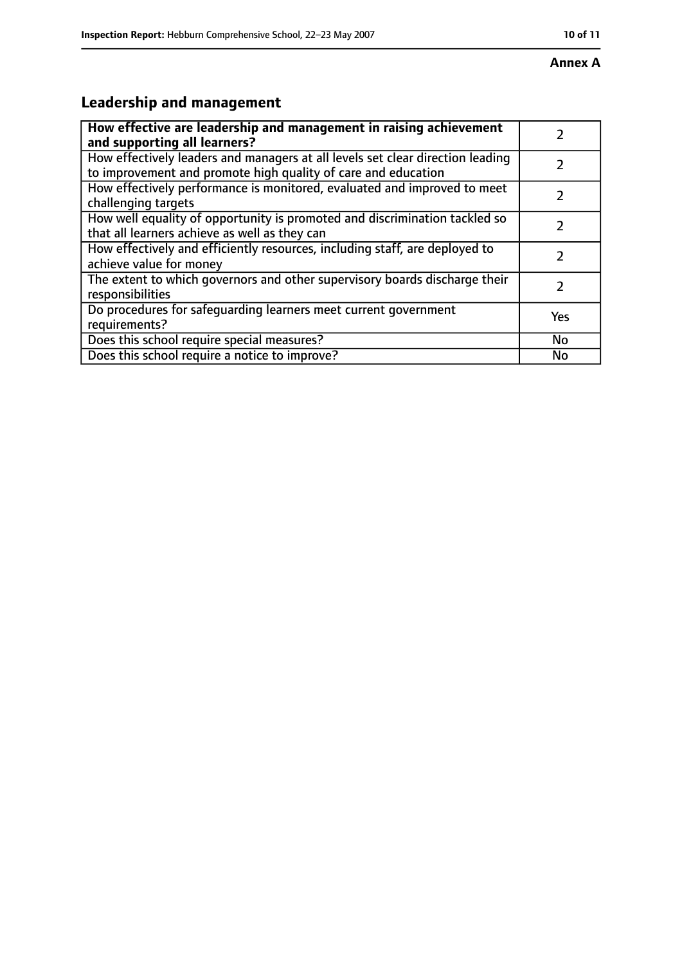#### **Annex A**

# **Leadership and management**

| How effective are leadership and management in raising achievement<br>and supporting all learners?                                              |           |
|-------------------------------------------------------------------------------------------------------------------------------------------------|-----------|
| How effectively leaders and managers at all levels set clear direction leading<br>to improvement and promote high quality of care and education |           |
| How effectively performance is monitored, evaluated and improved to meet<br>challenging targets                                                 |           |
| How well equality of opportunity is promoted and discrimination tackled so<br>that all learners achieve as well as they can                     |           |
| How effectively and efficiently resources, including staff, are deployed to<br>achieve value for money                                          |           |
| The extent to which governors and other supervisory boards discharge their<br>responsibilities                                                  | 7         |
| Do procedures for safequarding learners meet current government<br>requirements?                                                                | Yes       |
| Does this school require special measures?                                                                                                      | <b>No</b> |
| Does this school require a notice to improve?                                                                                                   | No        |